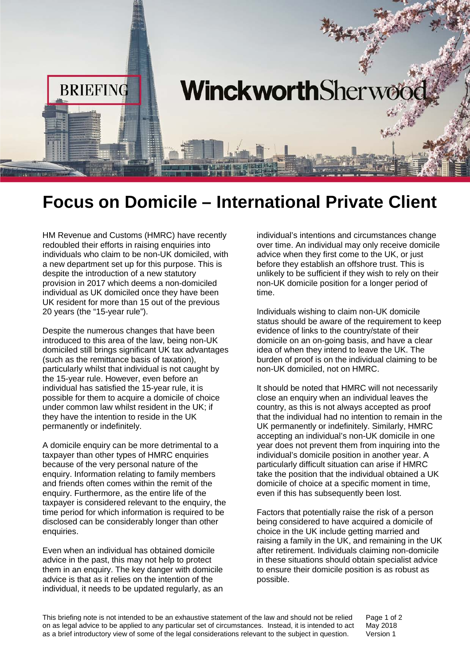

## **Focus on Domicile – International Private Client**

HM Revenue and Customs (HMRC) have recently redoubled their efforts in raising enquiries into individuals who claim to be non-UK domiciled, with a new department set up for this purpose. This is despite the introduction of a new statutory provision in 2017 which deems a non-domiciled individual as UK domiciled once they have been UK resident for more than 15 out of the previous 20 years (the "15-year rule").

Despite the numerous changes that have been introduced to this area of the law, being non-UK domiciled still brings significant UK tax advantages (such as the remittance basis of taxation), particularly whilst that individual is not caught by the 15-year rule. However, even before an individual has satisfied the 15-year rule, it is possible for them to acquire a domicile of choice under common law whilst resident in the UK; if they have the intention to reside in the UK permanently or indefinitely.

A domicile enquiry can be more detrimental to a taxpayer than other types of HMRC enquiries because of the very personal nature of the enquiry. Information relating to family members and friends often comes within the remit of the enquiry. Furthermore, as the entire life of the taxpayer is considered relevant to the enquiry, the time period for which information is required to be disclosed can be considerably longer than other enquiries.

Even when an individual has obtained domicile advice in the past, this may not help to protect them in an enquiry. The key danger with domicile advice is that as it relies on the intention of the individual, it needs to be updated regularly, as an

individual's intentions and circumstances change over time. An individual may only receive domicile advice when they first come to the UK, or just before they establish an offshore trust. This is unlikely to be sufficient if they wish to rely on their non-UK domicile position for a longer period of time.

Individuals wishing to claim non-UK domicile status should be aware of the requirement to keep evidence of links to the country/state of their domicile on an on-going basis, and have a clear idea of when they intend to leave the UK. The burden of proof is on the individual claiming to be non-UK domiciled, not on HMRC.

It should be noted that HMRC will not necessarily close an enquiry when an individual leaves the country, as this is not always accepted as proof that the individual had no intention to remain in the UK permanently or indefinitely. Similarly, HMRC accepting an individual's non-UK domicile in one year does not prevent them from inquiring into the individual's domicile position in another year. A particularly difficult situation can arise if HMRC take the position that the individual obtained a UK domicile of choice at a specific moment in time, even if this has subsequently been lost.

Factors that potentially raise the risk of a person being considered to have acquired a domicile of choice in the UK include getting married and raising a family in the UK, and remaining in the UK after retirement. Individuals claiming non-domicile in these situations should obtain specialist advice to ensure their domicile position is as robust as possible.

This briefing note is not intended to be an exhaustive statement of the law and should not be relied on as legal advice to be applied to any particular set of circumstances. Instead, it is intended to act as a brief introductory view of some of the legal considerations relevant to the subject in question.

Page 1 of 2 May 2018 Version 1